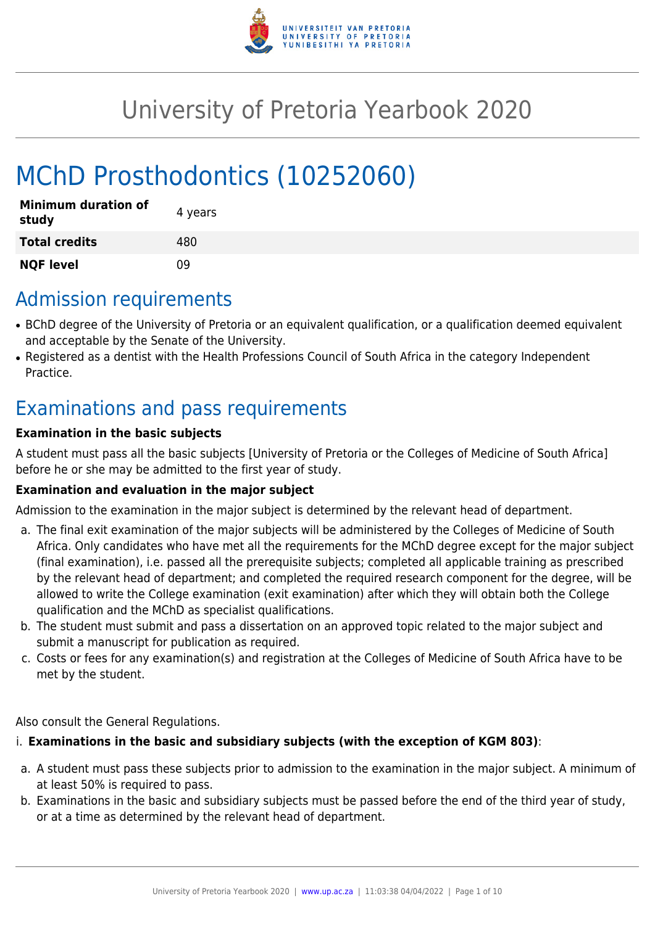

# University of Pretoria Yearbook 2020

# MChD Prosthodontics (10252060)

| <b>Minimum duration of</b><br>study | 4 years |
|-------------------------------------|---------|
| <b>Total credits</b>                | 480     |
| <b>NQF level</b>                    | n۹      |

# Admission requirements

- BChD degree of the University of Pretoria or an equivalent qualification, or a qualification deemed equivalent and acceptable by the Senate of the University.
- Registered as a dentist with the Health Professions Council of South Africa in the category Independent Practice.

# Examinations and pass requirements

#### **Examination in the basic subjects**

A student must pass all the basic subjects [University of Pretoria or the Colleges of Medicine of South Africa] before he or she may be admitted to the first year of study.

#### **Examination and evaluation in the major subject**

Admission to the examination in the major subject is determined by the relevant head of department.

- a. The final exit examination of the major subjects will be administered by the Colleges of Medicine of South Africa. Only candidates who have met all the requirements for the MChD degree except for the major subject (final examination), i.e. passed all the prerequisite subjects; completed all applicable training as prescribed by the relevant head of department; and completed the required research component for the degree, will be allowed to write the College examination (exit examination) after which they will obtain both the College qualification and the MChD as specialist qualifications.
- b. The student must submit and pass a dissertation on an approved topic related to the major subject and submit a manuscript for publication as required.
- c. Costs or fees for any examination(s) and registration at the Colleges of Medicine of South Africa have to be met by the student.

Also consult the General Regulations.

#### i. **Examinations in the basic and subsidiary subjects (with the exception of KGM 803)**:

- a. A student must pass these subjects prior to admission to the examination in the major subject. A minimum of at least 50% is required to pass.
- b. Examinations in the basic and subsidiary subjects must be passed before the end of the third year of study, or at a time as determined by the relevant head of department.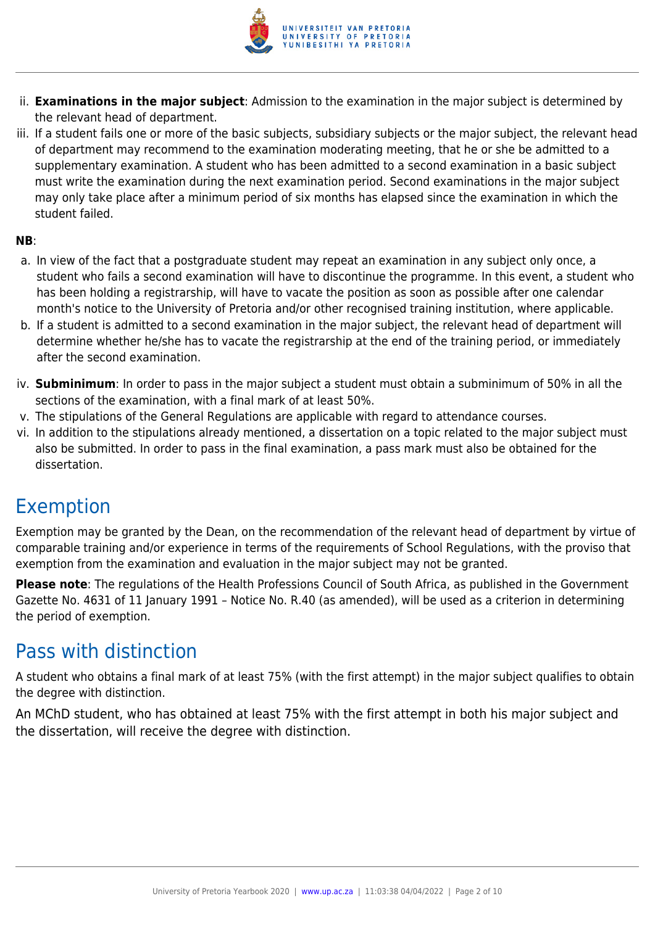

- ii. **Examinations in the major subject**: Admission to the examination in the major subject is determined by the relevant head of department.
- iii. If a student fails one or more of the basic subjects, subsidiary subjects or the major subject, the relevant head of department may recommend to the examination moderating meeting, that he or she be admitted to a supplementary examination. A student who has been admitted to a second examination in a basic subject must write the examination during the next examination period. Second examinations in the major subject may only take place after a minimum period of six months has elapsed since the examination in which the student failed.

#### **NB**:

- a. In view of the fact that a postgraduate student may repeat an examination in any subject only once, a student who fails a second examination will have to discontinue the programme. In this event, a student who has been holding a registrarship, will have to vacate the position as soon as possible after one calendar month's notice to the University of Pretoria and/or other recognised training institution, where applicable.
- b. If a student is admitted to a second examination in the major subject, the relevant head of department will determine whether he/she has to vacate the registrarship at the end of the training period, or immediately after the second examination.
- iv. **Subminimum**: In order to pass in the major subject a student must obtain a subminimum of 50% in all the sections of the examination, with a final mark of at least 50%.
- v. The stipulations of the General Regulations are applicable with regard to attendance courses.
- vi. In addition to the stipulations already mentioned, a dissertation on a topic related to the major subject must also be submitted. In order to pass in the final examination, a pass mark must also be obtained for the dissertation.

# Exemption

Exemption may be granted by the Dean, on the recommendation of the relevant head of department by virtue of comparable training and/or experience in terms of the requirements of School Regulations, with the proviso that exemption from the examination and evaluation in the major subject may not be granted.

**Please note**: The regulations of the Health Professions Council of South Africa, as published in the Government Gazette No. 4631 of 11 January 1991 – Notice No. R.40 (as amended), will be used as a criterion in determining the period of exemption.

# Pass with distinction

A student who obtains a final mark of at least 75% (with the first attempt) in the major subject qualifies to obtain the degree with distinction.

An MChD student, who has obtained at least 75% with the first attempt in both his major subject and the dissertation, will receive the degree with distinction.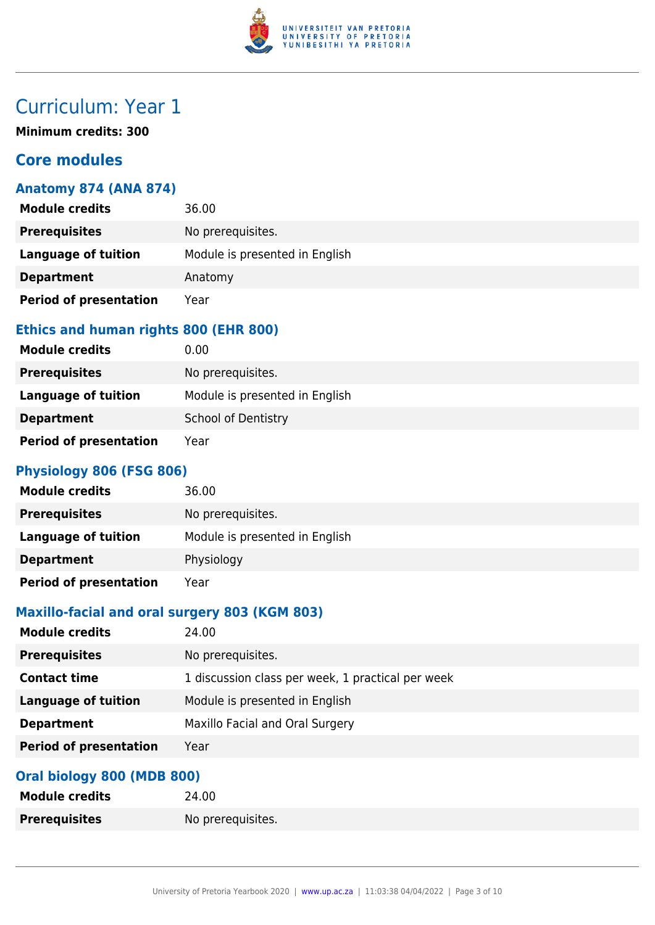

# Curriculum: Year 1

**Minimum credits: 300**

### **Core modules**

#### **Anatomy 874 (ANA 874)**

| <b>Module credits</b>         | 36.00                          |
|-------------------------------|--------------------------------|
| <b>Prerequisites</b>          | No prerequisites.              |
| Language of tuition           | Module is presented in English |
| <b>Department</b>             | Anatomy                        |
| <b>Period of presentation</b> | Year                           |

#### **Ethics and human rights 800 (EHR 800)**

| <b>Module credits</b>         | 0.00                           |
|-------------------------------|--------------------------------|
| <b>Prerequisites</b>          | No prerequisites.              |
| Language of tuition           | Module is presented in English |
| <b>Department</b>             | School of Dentistry            |
| <b>Period of presentation</b> | Year                           |

#### **Physiology 806 (FSG 806)**

| <b>Module credits</b>         | 36.00                          |
|-------------------------------|--------------------------------|
| <b>Prerequisites</b>          | No prerequisites.              |
| Language of tuition           | Module is presented in English |
| <b>Department</b>             | Physiology                     |
| <b>Period of presentation</b> | Year                           |

#### **Maxillo-facial and oral surgery 803 (KGM 803)**

| <b>Module credits</b>         | 24.00                                             |
|-------------------------------|---------------------------------------------------|
| <b>Prerequisites</b>          | No prerequisites.                                 |
| <b>Contact time</b>           | 1 discussion class per week, 1 practical per week |
| Language of tuition           | Module is presented in English                    |
| <b>Department</b>             | Maxillo Facial and Oral Surgery                   |
| <b>Period of presentation</b> | Year                                              |

#### **Oral biology 800 (MDB 800)**

| <b>Module credits</b> | 24.00             |
|-----------------------|-------------------|
| <b>Prerequisites</b>  | No prerequisites. |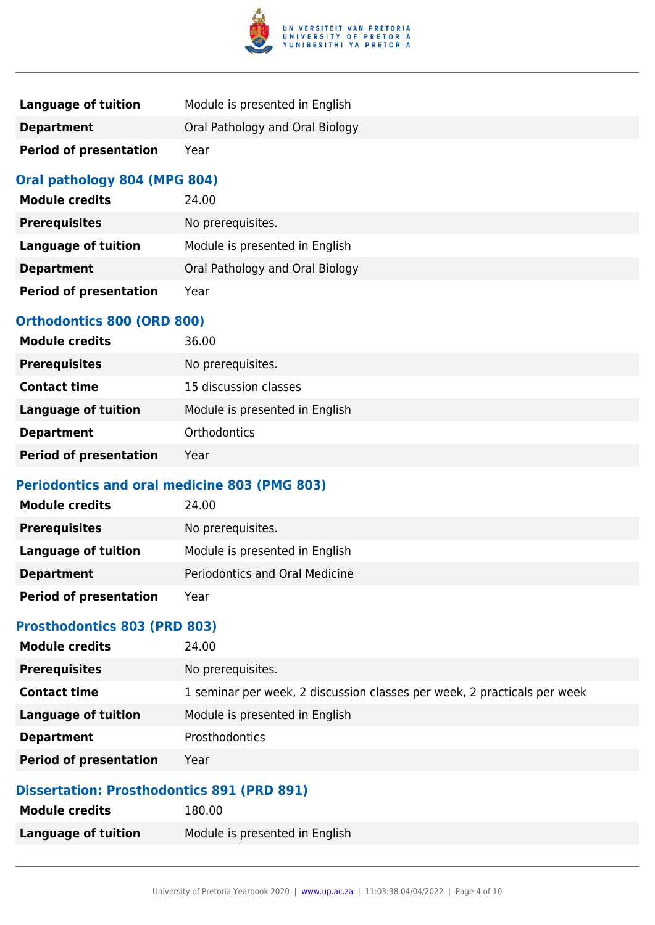

| Language of tuition           | Module is presented in English  |
|-------------------------------|---------------------------------|
| <b>Department</b>             | Oral Pathology and Oral Biology |
| <b>Period of presentation</b> | Year                            |

#### **Oral pathology 804 (MPG 804)**

| <b>Module credits</b>         | 24.00                           |
|-------------------------------|---------------------------------|
| <b>Prerequisites</b>          | No prerequisites.               |
| Language of tuition           | Module is presented in English  |
| <b>Department</b>             | Oral Pathology and Oral Biology |
| <b>Period of presentation</b> | Year                            |

#### **Orthodontics 800 (ORD 800)**

| <b>Module credits</b>         | 36.00                          |
|-------------------------------|--------------------------------|
| <b>Prerequisites</b>          | No prerequisites.              |
| <b>Contact time</b>           | 15 discussion classes          |
| Language of tuition           | Module is presented in English |
| <b>Department</b>             | Orthodontics                   |
| <b>Period of presentation</b> | Year                           |

#### **Periodontics and oral medicine 803 (PMG 803)**

| <b>Module credits</b>         | 24.00                          |
|-------------------------------|--------------------------------|
| <b>Prerequisites</b>          | No prerequisites.              |
| Language of tuition           | Module is presented in English |
| <b>Department</b>             | Periodontics and Oral Medicine |
| <b>Period of presentation</b> | Year                           |

#### **Prosthodontics 803 (PRD 803)**

| <b>Module credits</b>         | 24.00                                                                    |
|-------------------------------|--------------------------------------------------------------------------|
| <b>Prerequisites</b>          | No prerequisites.                                                        |
| <b>Contact time</b>           | 1 seminar per week, 2 discussion classes per week, 2 practicals per week |
| <b>Language of tuition</b>    | Module is presented in English                                           |
| <b>Department</b>             | <b>Prosthodontics</b>                                                    |
| <b>Period of presentation</b> | Year                                                                     |

#### **Dissertation: Prosthodontics 891 (PRD 891)**

| <b>Module credits</b>      | 180.00                         |
|----------------------------|--------------------------------|
| <b>Language of tuition</b> | Module is presented in English |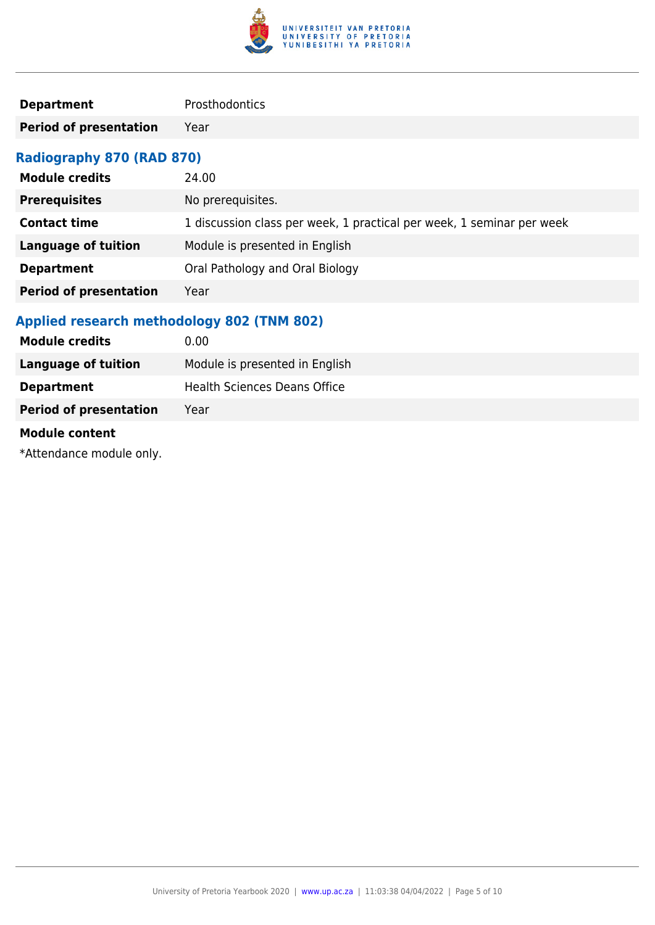

| <b>Department</b> | Prosthodontics |
|-------------------|----------------|
|                   |                |

**Period of presentation** Year

### **Radiography 870 (RAD 870)**

| <b>Module credits</b>         | 24.00                                                                 |
|-------------------------------|-----------------------------------------------------------------------|
| <b>Prerequisites</b>          | No prerequisites.                                                     |
| <b>Contact time</b>           | 1 discussion class per week, 1 practical per week, 1 seminar per week |
| Language of tuition           | Module is presented in English                                        |
| <b>Department</b>             | Oral Pathology and Oral Biology                                       |
| <b>Period of presentation</b> | Year                                                                  |

### **Applied research methodology 802 (TNM 802)**

| <b>Module credits</b>         | 0.00                                |
|-------------------------------|-------------------------------------|
| <b>Language of tuition</b>    | Module is presented in English      |
| <b>Department</b>             | <b>Health Sciences Deans Office</b> |
| <b>Period of presentation</b> | Year                                |
| <b>Module content</b>         |                                     |

\*Attendance module only.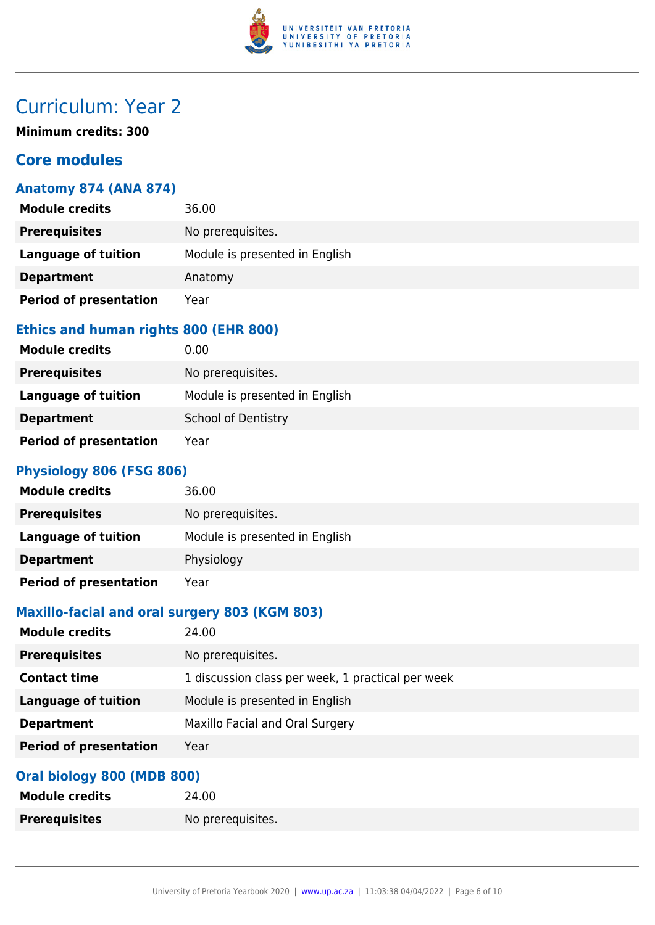

# Curriculum: Year 2

**Minimum credits: 300**

### **Core modules**

#### **Anatomy 874 (ANA 874)**

| <b>Module credits</b>         | 36.00                          |
|-------------------------------|--------------------------------|
| <b>Prerequisites</b>          | No prerequisites.              |
| Language of tuition           | Module is presented in English |
| <b>Department</b>             | Anatomy                        |
| <b>Period of presentation</b> | Year                           |

#### **Ethics and human rights 800 (EHR 800)**

| <b>Module credits</b>         | 0.00                           |
|-------------------------------|--------------------------------|
| <b>Prerequisites</b>          | No prerequisites.              |
| Language of tuition           | Module is presented in English |
| <b>Department</b>             | <b>School of Dentistry</b>     |
| <b>Period of presentation</b> | Year                           |

#### **Physiology 806 (FSG 806)**

| <b>Module credits</b>         | 36.00                          |
|-------------------------------|--------------------------------|
| <b>Prerequisites</b>          | No prerequisites.              |
| Language of tuition           | Module is presented in English |
| <b>Department</b>             | Physiology                     |
| <b>Period of presentation</b> | Year                           |

#### **Maxillo-facial and oral surgery 803 (KGM 803)**

| <b>Module credits</b>         | 24.00                                             |
|-------------------------------|---------------------------------------------------|
| <b>Prerequisites</b>          | No prerequisites.                                 |
| <b>Contact time</b>           | 1 discussion class per week, 1 practical per week |
| Language of tuition           | Module is presented in English                    |
| <b>Department</b>             | Maxillo Facial and Oral Surgery                   |
| <b>Period of presentation</b> | Year                                              |

#### **Oral biology 800 (MDB 800)**

| <b>Module credits</b> | 24.00             |
|-----------------------|-------------------|
| <b>Prerequisites</b>  | No prerequisites. |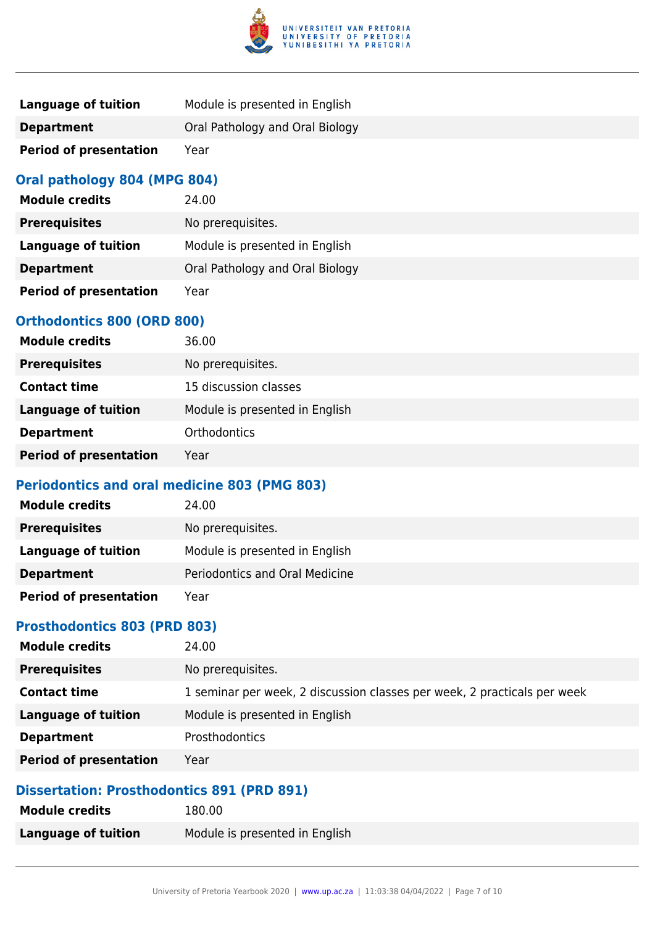

| Language of tuition           | Module is presented in English  |
|-------------------------------|---------------------------------|
| <b>Department</b>             | Oral Pathology and Oral Biology |
| <b>Period of presentation</b> | Year                            |

#### **Oral pathology 804 (MPG 804)**

| <b>Module credits</b>         | 24.00                           |
|-------------------------------|---------------------------------|
| <b>Prerequisites</b>          | No prerequisites.               |
| Language of tuition           | Module is presented in English  |
| <b>Department</b>             | Oral Pathology and Oral Biology |
| <b>Period of presentation</b> | Year                            |

#### **Orthodontics 800 (ORD 800)**

| <b>Module credits</b>         | 36.00                          |
|-------------------------------|--------------------------------|
| <b>Prerequisites</b>          | No prerequisites.              |
| <b>Contact time</b>           | 15 discussion classes          |
| <b>Language of tuition</b>    | Module is presented in English |
| <b>Department</b>             | <b>Orthodontics</b>            |
| <b>Period of presentation</b> | Year                           |

#### **Periodontics and oral medicine 803 (PMG 803)**

| <b>Module credits</b>         | 24.00                          |
|-------------------------------|--------------------------------|
| <b>Prerequisites</b>          | No prerequisites.              |
| Language of tuition           | Module is presented in English |
| <b>Department</b>             | Periodontics and Oral Medicine |
| <b>Period of presentation</b> | Year                           |

#### **Prosthodontics 803 (PRD 803)**

| <b>Module credits</b>         | 24.00                                                                    |
|-------------------------------|--------------------------------------------------------------------------|
| <b>Prerequisites</b>          | No prerequisites.                                                        |
| <b>Contact time</b>           | 1 seminar per week, 2 discussion classes per week, 2 practicals per week |
| <b>Language of tuition</b>    | Module is presented in English                                           |
| <b>Department</b>             | <b>Prosthodontics</b>                                                    |
| <b>Period of presentation</b> | Year                                                                     |

#### **Dissertation: Prosthodontics 891 (PRD 891)**

| <b>Module credits</b>      | 180.00                         |
|----------------------------|--------------------------------|
| <b>Language of tuition</b> | Module is presented in English |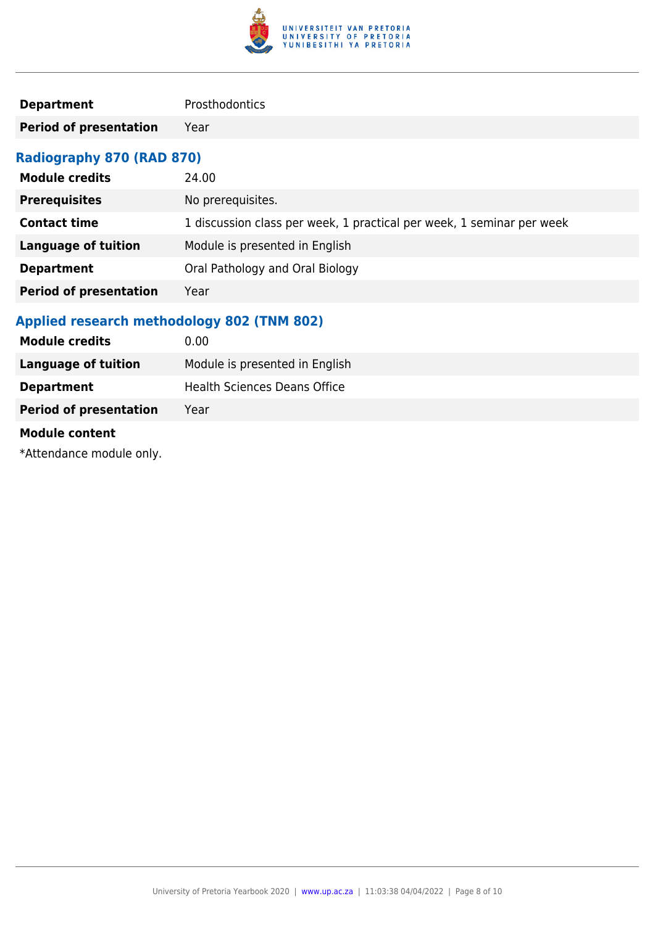

| <b>Department</b> | Prosthodontics |
|-------------------|----------------|
|                   |                |

**Period of presentation** Year

### **Radiography 870 (RAD 870)**

| <b>Module credits</b>         | 24.00                                                                 |
|-------------------------------|-----------------------------------------------------------------------|
| <b>Prerequisites</b>          | No prerequisites.                                                     |
| <b>Contact time</b>           | 1 discussion class per week, 1 practical per week, 1 seminar per week |
| Language of tuition           | Module is presented in English                                        |
| <b>Department</b>             | Oral Pathology and Oral Biology                                       |
| <b>Period of presentation</b> | Year                                                                  |

### **Applied research methodology 802 (TNM 802)**

| <b>Module credits</b>         | 0.00                                |
|-------------------------------|-------------------------------------|
| <b>Language of tuition</b>    | Module is presented in English      |
| <b>Department</b>             | <b>Health Sciences Deans Office</b> |
| <b>Period of presentation</b> | Year                                |
| <b>Module content</b>         |                                     |

\*Attendance module only.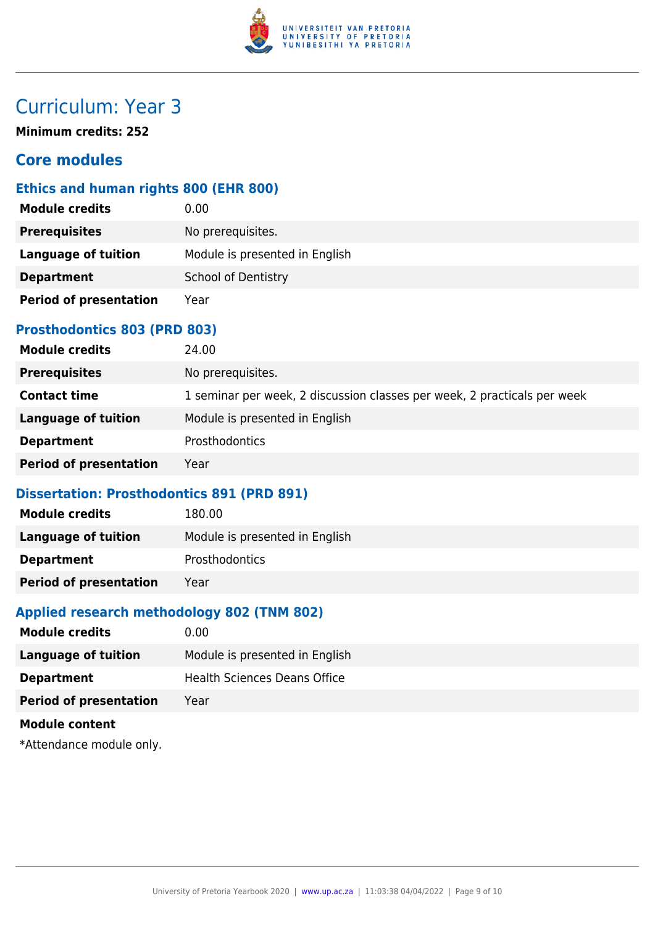

# Curriculum: Year 3

**Minimum credits: 252**

### **Core modules**

#### **Ethics and human rights 800 (EHR 800)**

| <b>Module credits</b>         | 0.00                           |
|-------------------------------|--------------------------------|
| <b>Prerequisites</b>          | No prerequisites.              |
| <b>Language of tuition</b>    | Module is presented in English |
| <b>Department</b>             | School of Dentistry            |
| <b>Period of presentation</b> | Year                           |

#### **Prosthodontics 803 (PRD 803)**

| <b>Module credits</b>         | 24.00                                                                    |
|-------------------------------|--------------------------------------------------------------------------|
| <b>Prerequisites</b>          | No prerequisites.                                                        |
| <b>Contact time</b>           | 1 seminar per week, 2 discussion classes per week, 2 practicals per week |
| Language of tuition           | Module is presented in English                                           |
| <b>Department</b>             | <b>Prosthodontics</b>                                                    |
| <b>Period of presentation</b> | Year                                                                     |

#### **Dissertation: Prosthodontics 891 (PRD 891)**

| <b>Module credits</b>         | 180.00                         |
|-------------------------------|--------------------------------|
| Language of tuition           | Module is presented in English |
| <b>Department</b>             | Prosthodontics                 |
| <b>Period of presentation</b> | Year                           |

#### **Applied research methodology 802 (TNM 802)**

| <b>Module credits</b>         | 0.00                           |
|-------------------------------|--------------------------------|
| <b>Language of tuition</b>    | Module is presented in English |
| <b>Department</b>             | Health Sciences Deans Office   |
| <b>Period of presentation</b> | Year                           |
| <b>Module content</b>         |                                |
|                               |                                |

\*Attendance module only.